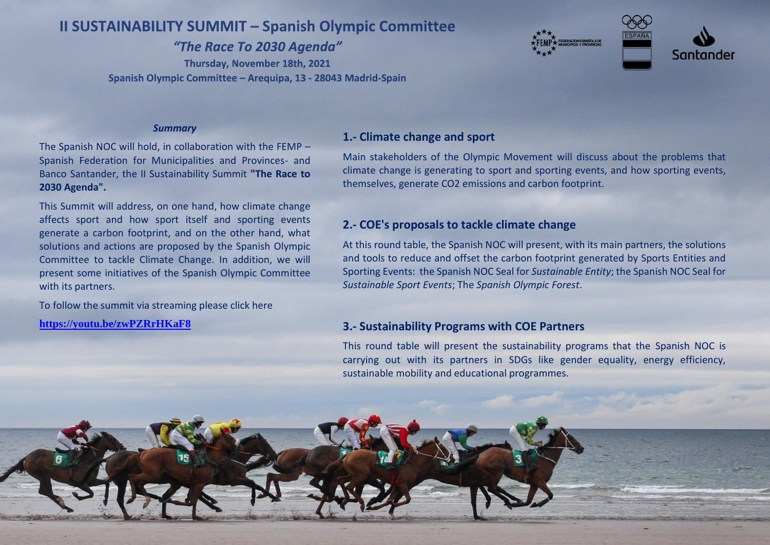# **II SUSTAINABILITY SUMMIT - Spanish Olympic Committee**

"The Race To 2030 Agenda"

Thursday, November 18th, 2021 Spanish Olympic Committee - Arequipa, 13 - 28043 Madrid-Spain





### *Summary*

The Spanish NOC will hold, in collaboration with the FEMP – Spanish Federation for Municipalities and Provinces- and Banco Santander, the II Sustainability Summit **"The Race to 2030 Agenda".**

This Summit will address, on one hand, how climate change affects sport and how sport itself and sporting events generate a carbon footprint, and on the other hand, what solutions and actions are proposed by the Spanish Olympic Committee to tackle Climate Change. In addition, we will present some initiatives of the Spanish Olympic Committee with its partners.

To follow the summit via streaming please click here

**<https://youtu.be/zwPZRrHKaF8>**

# **1.- Climate change and sport**

Main stakeholders of the Olympic Movement will discuss about the problems that climate change is generating to sport and sporting events, and how sporting events, themselves, generate CO2 emissions and carbon footprint.

# **2.- COE's proposals to tackle climate change**

At this round table, the Spanish NOC will present, with its main partners, the solutions and tools to reduce and offset the carbon footprint generated by Sports Entities and Sporting Events: the Spanish NOC Seal for *Sustainable Entity*; the Spanish NOC Seal for *Sustainable Sport Events*; The *Spanish Olympic Forest*.

## **3.- Sustainability Programs with COE Partners**

This round table will present the sustainability programs that the Spanish NOC is carrying out with its partners in SDGs like gender equality, energy efficiency, sustainable mobility and educational programmes.